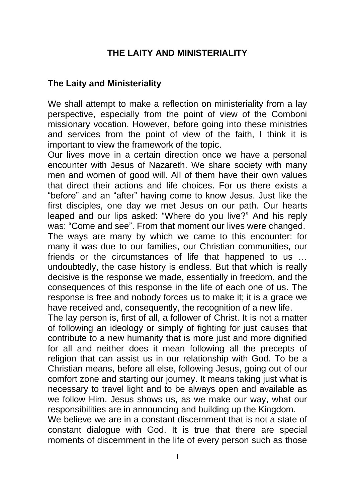# **THE LAITY AND MINISTERIALITY**

#### **The Laity and Ministeriality**

We shall attempt to make a reflection on ministeriality from a lay perspective, especially from the point of view of the Comboni missionary vocation. However, before going into these ministries and services from the point of view of the faith, I think it is important to view the framework of the topic.

Our lives move in a certain direction once we have a personal encounter with Jesus of Nazareth. We share society with many men and women of good will. All of them have their own values that direct their actions and life choices. For us there exists a "before" and an "after" having come to know Jesus. Just like the first disciples, one day we met Jesus on our path. Our hearts leaped and our lips asked: "Where do you live?" And his reply was: "Come and see". From that moment our lives were changed. The ways are many by which we came to this encounter: for many it was due to our families, our Christian communities, our friends or the circumstances of life that happened to us …

undoubtedly, the case history is endless. But that which is really decisive is the response we made, essentially in freedom, and the consequences of this response in the life of each one of us. The response is free and nobody forces us to make it; it is a grace we have received and, consequently, the recognition of a new life.

The lay person is, first of all, a follower of Christ. It is not a matter of following an ideology or simply of fighting for just causes that contribute to a new humanity that is more just and more dignified for all and neither does it mean following all the precepts of religion that can assist us in our relationship with God. To be a Christian means, before all else, following Jesus, going out of our comfort zone and starting our journey. It means taking just what is necessary to travel light and to be always open and available as we follow Him. Jesus shows us, as we make our way, what our responsibilities are in announcing and building up the Kingdom.

We believe we are in a constant discernment that is not a state of constant dialogue with God. It is true that there are special moments of discernment in the life of every person such as those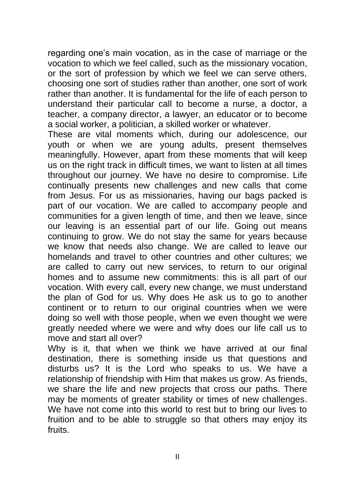regarding one's main vocation, as in the case of marriage or the vocation to which we feel called, such as the missionary vocation, or the sort of profession by which we feel we can serve others, choosing one sort of studies rather than another, one sort of work rather than another. It is fundamental for the life of each person to understand their particular call to become a nurse, a doctor, a teacher, a company director, a lawyer, an educator or to become a social worker, a politician, a skilled worker or whatever.

These are vital moments which, during our adolescence, our youth or when we are young adults, present themselves meaningfully. However, apart from these moments that will keep us on the right track in difficult times, we want to listen at all times throughout our journey. We have no desire to compromise. Life continually presents new challenges and new calls that come from Jesus. For us as missionaries, having our bags packed is part of our vocation. We are called to accompany people and communities for a given length of time, and then we leave, since our leaving is an essential part of our life. Going out means continuing to grow. We do not stay the same for years because we know that needs also change. We are called to leave our homelands and travel to other countries and other cultures; we are called to carry out new services, to return to our original homes and to assume new commitments: this is all part of our vocation. With every call, every new change, we must understand the plan of God for us. Why does He ask us to go to another continent or to return to our original countries when we were doing so well with those people, when we even thought we were greatly needed where we were and why does our life call us to move and start all over?

Why is it, that when we think we have arrived at our final destination, there is something inside us that questions and disturbs us? It is the Lord who speaks to us. We have a relationship of friendship with Him that makes us grow. As friends, we share the life and new projects that cross our paths. There may be moments of greater stability or times of new challenges. We have not come into this world to rest but to bring our lives to fruition and to be able to struggle so that others may enjoy its fruits.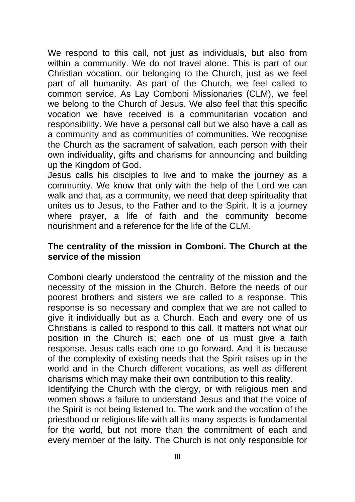We respond to this call, not just as individuals, but also from within a community. We do not travel alone. This is part of our Christian vocation, our belonging to the Church, just as we feel part of all humanity. As part of the Church, we feel called to common service. As Lay Comboni Missionaries (CLM), we feel we belong to the Church of Jesus. We also feel that this specific vocation we have received is a communitarian vocation and responsibility. We have a personal call but we also have a call as a community and as communities of communities. We recognise the Church as the sacrament of salvation, each person with their own individuality, gifts and charisms for announcing and building up the Kingdom of God.

Jesus calls his disciples to live and to make the journey as a community. We know that only with the help of the Lord we can walk and that, as a community, we need that deep spirituality that unites us to Jesus, to the Father and to the Spirit. It is a journey where prayer, a life of faith and the community become nourishment and a reference for the life of the CLM.

### **The centrality of the mission in Comboni. The Church at the service of the mission**

Comboni clearly understood the centrality of the mission and the necessity of the mission in the Church. Before the needs of our poorest brothers and sisters we are called to a response. This response is so necessary and complex that we are not called to give it individually but as a Church. Each and every one of us Christians is called to respond to this call. It matters not what our position in the Church is; each one of us must give a faith response. Jesus calls each one to go forward. And it is because of the complexity of existing needs that the Spirit raises up in the world and in the Church different vocations, as well as different charisms which may make their own contribution to this reality.

Identifying the Church with the clergy, or with religious men and women shows a failure to understand Jesus and that the voice of the Spirit is not being listened to. The work and the vocation of the priesthood or religious life with all its many aspects is fundamental for the world, but not more than the commitment of each and every member of the laity. The Church is not only responsible for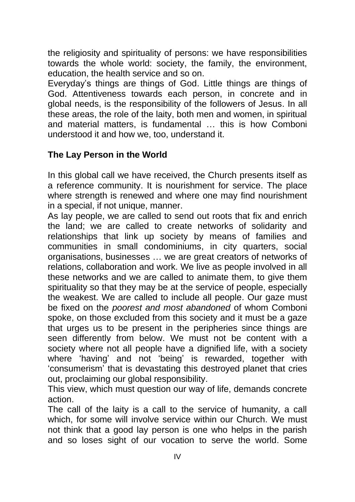the religiosity and spirituality of persons: we have responsibilities towards the whole world: society, the family, the environment, education, the health service and so on.

Everyday's things are things of God. Little things are things of God. Attentiveness towards each person, in concrete and in global needs, is the responsibility of the followers of Jesus. In all these areas, the role of the laity, both men and women, in spiritual and material matters, is fundamental … this is how Comboni understood it and how we, too, understand it.

# **The Lay Person in the World**

In this global call we have received, the Church presents itself as a reference community. It is nourishment for service. The place where strength is renewed and where one may find nourishment in a special, if not unique, manner.

As lay people, we are called to send out roots that fix and enrich the land; we are called to create networks of solidarity and relationships that link up society by means of families and communities in small condominiums, in city quarters, social organisations, businesses … we are great creators of networks of relations, collaboration and work. We live as people involved in all these networks and we are called to animate them, to give them spirituality so that they may be at the service of people, especially the weakest. We are called to include all people. Our gaze must be fixed on the *poorest and most abandoned* of whom Comboni spoke, on those excluded from this society and it must be a gaze that urges us to be present in the peripheries since things are seen differently from below. We must not be content with a society where not all people have a dignified life, with a society where 'having' and not 'being' is rewarded, together with 'consumerism' that is devastating this destroyed planet that cries out, proclaiming our global responsibility.

This view, which must question our way of life, demands concrete action.

The call of the laity is a call to the service of humanity, a call which, for some will involve service within our Church. We must not think that a good lay person is one who helps in the parish and so loses sight of our vocation to serve the world. Some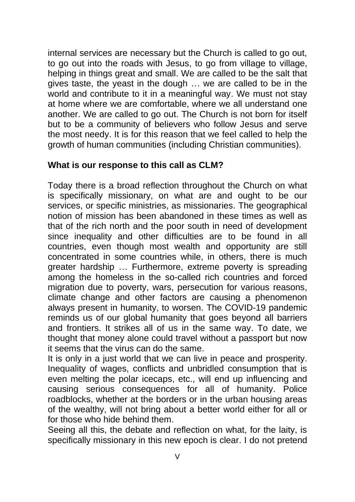internal services are necessary but the Church is called to go out, to go out into the roads with Jesus, to go from village to village, helping in things great and small. We are called to be the salt that gives taste, the yeast in the dough … we are called to be in the world and contribute to it in a meaningful way. We must not stay at home where we are comfortable, where we all understand one another. We are called to go out. The Church is not born for itself but to be a community of believers who follow Jesus and serve the most needy. It is for this reason that we feel called to help the growth of human communities (including Christian communities).

# **What is our response to this call as CLM?**

Today there is a broad reflection throughout the Church on what is specifically missionary, on what are and ought to be our services, or specific ministries, as missionaries. The geographical notion of mission has been abandoned in these times as well as that of the rich north and the poor south in need of development since inequality and other difficulties are to be found in all countries, even though most wealth and opportunity are still concentrated in some countries while, in others, there is much greater hardship … Furthermore, extreme poverty is spreading among the homeless in the so-called rich countries and forced migration due to poverty, wars, persecution for various reasons, climate change and other factors are causing a phenomenon always present in humanity, to worsen. The COVID-19 pandemic reminds us of our global humanity that goes beyond all barriers and frontiers. It strikes all of us in the same way. To date, we thought that money alone could travel without a passport but now it seems that the virus can do the same.

It is only in a just world that we can live in peace and prosperity. Inequality of wages, conflicts and unbridled consumption that is even melting the polar icecaps, etc., will end up influencing and causing serious consequences for all of humanity. Police roadblocks, whether at the borders or in the urban housing areas of the wealthy, will not bring about a better world either for all or for those who hide behind them.

Seeing all this, the debate and reflection on what, for the laity, is specifically missionary in this new epoch is clear. I do not pretend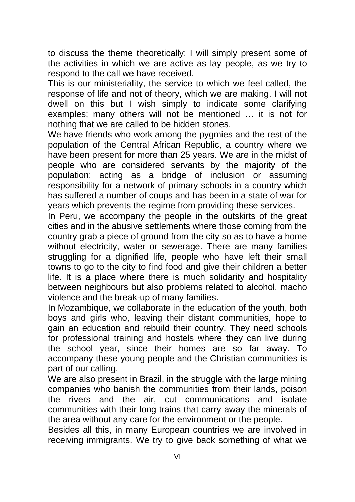to discuss the theme theoretically; I will simply present some of the activities in which we are active as lay people, as we try to respond to the call we have received.

This is our ministeriality, the service to which we feel called, the response of life and not of theory, which we are making. I will not dwell on this but I wish simply to indicate some clarifying examples; many others will not be mentioned … it is not for nothing that we are called to be hidden stones.

We have friends who work among the pygmies and the rest of the population of the Central African Republic, a country where we have been present for more than 25 years. We are in the midst of people who are considered servants by the majority of the population; acting as a bridge of inclusion or assuming responsibility for a network of primary schools in a country which has suffered a number of coups and has been in a state of war for years which prevents the regime from providing these services.

In Peru, we accompany the people in the outskirts of the great cities and in the abusive settlements where those coming from the country grab a piece of ground from the city so as to have a home without electricity, water or sewerage. There are many families struggling for a dignified life, people who have left their small towns to go to the city to find food and give their children a better life. It is a place where there is much solidarity and hospitality between neighbours but also problems related to alcohol, macho violence and the break-up of many families.

In Mozambique, we collaborate in the education of the youth, both boys and girls who, leaving their distant communities, hope to gain an education and rebuild their country. They need schools for professional training and hostels where they can live during the school year, since their homes are so far away. To accompany these young people and the Christian communities is part of our calling.

We are also present in Brazil, in the struggle with the large mining companies who banish the communities from their lands, poison the rivers and the air, cut communications and isolate communities with their long trains that carry away the minerals of the area without any care for the environment or the people.

Besides all this, in many European countries we are involved in receiving immigrants. We try to give back something of what we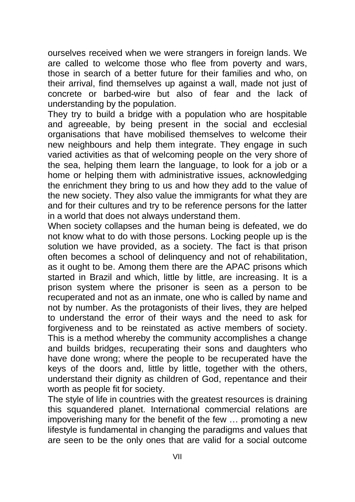ourselves received when we were strangers in foreign lands. We are called to welcome those who flee from poverty and wars, those in search of a better future for their families and who, on their arrival, find themselves up against a wall, made not just of concrete or barbed-wire but also of fear and the lack of understanding by the population.

They try to build a bridge with a population who are hospitable and agreeable, by being present in the social and ecclesial organisations that have mobilised themselves to welcome their new neighbours and help them integrate. They engage in such varied activities as that of welcoming people on the very shore of the sea, helping them learn the language, to look for a job or a home or helping them with administrative issues, acknowledging the enrichment they bring to us and how they add to the value of the new society. They also value the immigrants for what they are and for their cultures and try to be reference persons for the latter in a world that does not always understand them.

When society collapses and the human being is defeated, we do not know what to do with those persons. Locking people up is the solution we have provided, as a society. The fact is that prison often becomes a school of delinquency and not of rehabilitation, as it ought to be. Among them there are the APAC prisons which started in Brazil and which, little by little, are increasing. It is a prison system where the prisoner is seen as a person to be recuperated and not as an inmate, one who is called by name and not by number. As the protagonists of their lives, they are helped to understand the error of their ways and the need to ask for forgiveness and to be reinstated as active members of society. This is a method whereby the community accomplishes a change and builds bridges, recuperating their sons and daughters who have done wrong; where the people to be recuperated have the keys of the doors and, little by little, together with the others, understand their dignity as children of God, repentance and their worth as people fit for society.

The style of life in countries with the greatest resources is draining this squandered planet. International commercial relations are impoverishing many for the benefit of the few … promoting a new lifestyle is fundamental in changing the paradigms and values that are seen to be the only ones that are valid for a social outcome